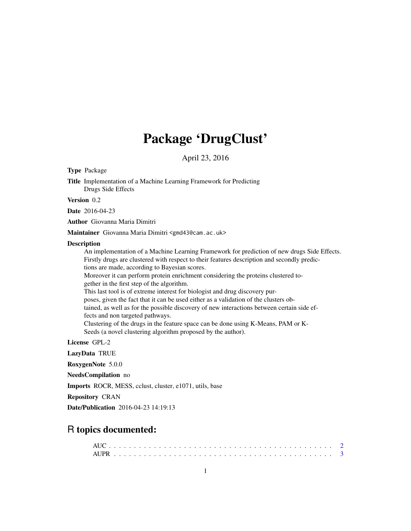# Package 'DrugClust'

April 23, 2016

Type Package

Title Implementation of a Machine Learning Framework for Predicting Drugs Side Effects

Version 0.2

Date 2016-04-23

Author Giovanna Maria Dimitri

Maintainer Giovanna Maria Dimitri <gmd43@cam.ac.uk>

#### Description

An implementation of a Machine Learning Framework for prediction of new drugs Side Effects. Firstly drugs are clustered with respect to their features description and secondly predictions are made, according to Bayesian scores. Moreover it can perform protein enrichment considering the proteins clustered together in the first step of the algorithm. This last tool is of extreme interest for biologist and drug discovery purposes, given the fact that it can be used either as a validation of the clusters obtained, as well as for the possible discovery of new interactions between certain side effects and non targeted pathways. Clustering of the drugs in the feature space can be done using K-Means, PAM or K-Seeds (a novel clustering algorithm proposed by the author).

License GPL-2

LazyData TRUE

RoxygenNote 5.0.0

NeedsCompilation no

Imports ROCR, MESS, cclust, cluster, e1071, utils, base

Repository CRAN

Date/Publication 2016-04-23 14:19:13

## R topics documented: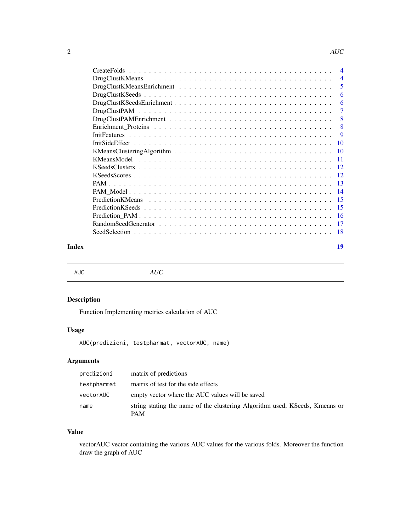<span id="page-1-0"></span>

| $\overline{4}$ |
|----------------|
| $\overline{4}$ |
| 5              |
| 6              |
| 6              |
| 7              |
| 8              |
| 8              |
| 9              |
|                |
|                |
| $-11$          |
|                |
|                |
|                |
|                |
|                |
|                |
|                |
|                |
| - 18           |
|                |

#### **Index** 2008 **[19](#page-18-0)99**

AUC *AUC*

## Description

Function Implementing metrics calculation of AUC

## Usage

AUC(predizioni, testpharmat, vectorAUC, name)

## Arguments

| predizioni  | matrix of predictions                                                                     |
|-------------|-------------------------------------------------------------------------------------------|
| testpharmat | matrix of test for the side effects                                                       |
| vectorAUC   | empty vector where the AUC values will be saved                                           |
| name        | string stating the name of the clustering Algorithm used, KSeeds, Kmeans or<br><b>PAM</b> |

## Value

vectorAUC vector containing the various AUC values for the various folds. Moreover the function draw the graph of AUC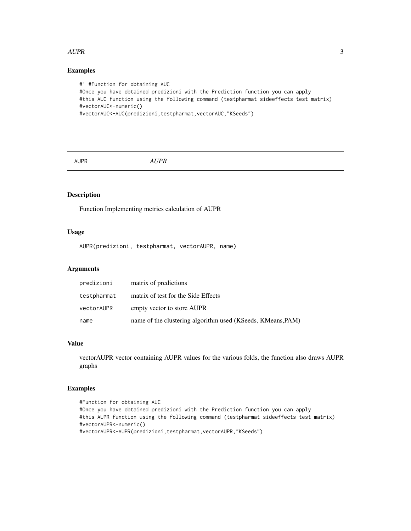#### <span id="page-2-0"></span> $AUPR$  3

## Examples

```
#' #Function for obtaining AUC
#Once you have obtained predizioni with the Prediction function you can apply
#this AUC function using the following command (testpharmat sideeffects test matrix)
#vectorAUC<-numeric()
#vectorAUC<-AUC(predizioni,testpharmat,vectorAUC,"KSeeds")
```
AUPR *AUPR*

## Description

Function Implementing metrics calculation of AUPR

#### Usage

```
AUPR(predizioni, testpharmat, vectorAUPR, name)
```
## Arguments

| predizioni  | matrix of predictions                                       |
|-------------|-------------------------------------------------------------|
| testpharmat | matrix of test for the Side Effects                         |
| vectorAUPR  | empty vector to store AUPR                                  |
| name        | name of the clustering algorithm used (KSeeds, KMeans, PAM) |

#### Value

vectorAUPR vector containing AUPR values for the various folds, the function also draws AUPR graphs

```
#Function for obtaining AUC
#Once you have obtained predizioni with the Prediction function you can apply
#this AUPR function using the following command (testpharmat sideeffects test matrix)
#vectorAUPR<-numeric()
#vectorAUPR<-AUPR(predizioni,testpharmat,vectorAUPR,"KSeeds")
```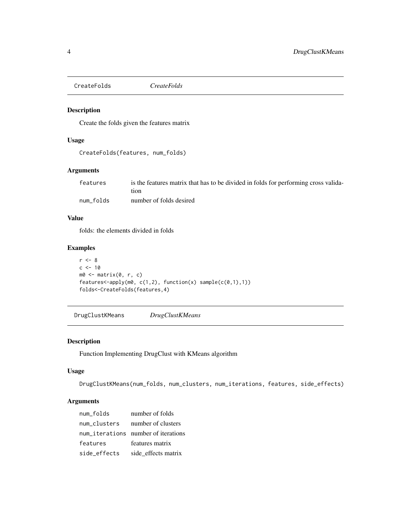<span id="page-3-0"></span>CreateFolds *CreateFolds*

## Description

Create the folds given the features matrix

## Usage

```
CreateFolds(features, num_folds)
```
## Arguments

| features  | is the features matrix that has to be divided in folds for performing cross valida- |
|-----------|-------------------------------------------------------------------------------------|
|           | tion                                                                                |
| num folds | number of folds desired                                                             |

## Value

folds: the elements divided in folds

## Examples

```
r < - 8c < -10m0 <- matrix(0, r, c)
features <- apply(m0, c(1,2), function(x) sample(c(0,1),1))
folds<-CreateFolds(features,4)
```
DrugClustKMeans *DrugClustKMeans*

## Description

Function Implementing DrugClust with KMeans algorithm

## Usage

```
DrugClustKMeans(num_folds, num_clusters, num_iterations, features, side_effects)
```

| num folds    | number of folds                     |
|--------------|-------------------------------------|
| num clusters | number of clusters                  |
|              | num_iterations number of iterations |
| features     | features matrix                     |
| side_effects | side effects matrix                 |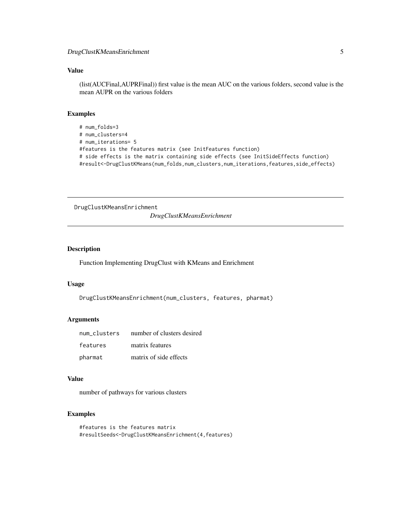## <span id="page-4-0"></span>Value

(list(AUCFinal,AUPRFinal)) first value is the mean AUC on the various folders, second value is the mean AUPR on the various folders

## Examples

```
# num_folds=3
# num_clusters=4
# num_iterations= 5
#features is the features matrix (see InitFeatures function)
# side effects is the matrix containing side effects (see InitSideEffects function)
#result<-DrugClustKMeans(num_folds,num_clusters,num_iterations,features,side_effects)
```
DrugClustKMeansEnrichment

*DrugClustKMeansEnrichment*

## Description

Function Implementing DrugClust with KMeans and Enrichment

## Usage

DrugClustKMeansEnrichment(num\_clusters, features, pharmat)

## Arguments

| num clusters | number of clusters desired |
|--------------|----------------------------|
| features     | matrix features            |
| pharmat      | matrix of side effects     |

#### Value

number of pathways for various clusters

```
#features is the features matrix
#resultSeeds<-DrugClustKMeansEnrichment(4,features)
```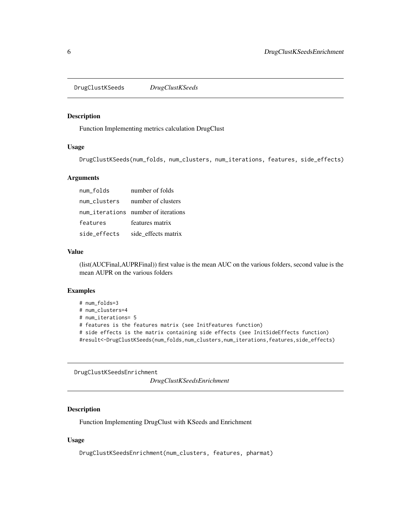<span id="page-5-0"></span>DrugClustKSeeds *DrugClustKSeeds*

#### Description

Function Implementing metrics calculation DrugClust

## Usage

DrugClustKSeeds(num\_folds, num\_clusters, num\_iterations, features, side\_effects)

#### Arguments

| num folds    | number of folds                     |
|--------------|-------------------------------------|
| num clusters | number of clusters                  |
|              | num_iterations number of iterations |
| features     | features matrix                     |
| side effects | side_effects matrix                 |

#### Value

(list(AUCFinal,AUPRFinal)) first value is the mean AUC on the various folders, second value is the mean AUPR on the various folders

#### Examples

```
# num_folds=3
# num_clusters=4
# num_iterations= 5
# features is the features matrix (see InitFeatures function)
# side effects is the matrix containing side effects (see InitSideEffects function)
#result<-DrugClustKSeeds(num_folds,num_clusters,num_iterations,features,side_effects)
```
DrugClustKSeedsEnrichment

*DrugClustKSeedsEnrichment*

## Description

Function Implementing DrugClust with KSeeds and Enrichment

#### Usage

DrugClustKSeedsEnrichment(num\_clusters, features, pharmat)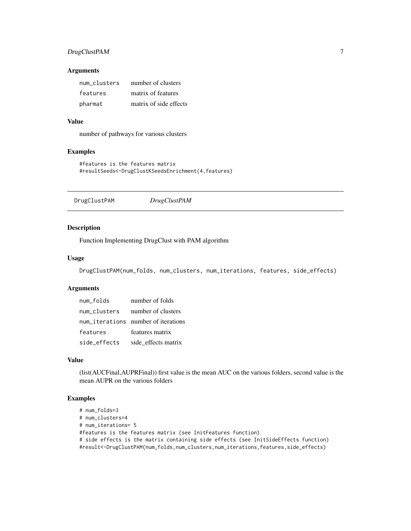## <span id="page-6-0"></span>DrugClustPAM 7

#### Arguments

| num clusters | number of clusters     |
|--------------|------------------------|
| features     | matrix of features     |
| pharmat      | matrix of side effects |

## Value

number of pathways for various clusters

## Examples

```
#features is the features matrix
#resultSeeds<-DrugClustKSeedsEnrichment(4,features)
```
DrugClustPAM *DrugClustPAM*

## Description

Function Implementing DrugClust with PAM algorithm

## Usage

DrugClustPAM(num\_folds, num\_clusters, num\_iterations, features, side\_effects)

## Arguments

| num folds    | number of folds                     |
|--------------|-------------------------------------|
| num clusters | number of clusters                  |
|              | num_iterations number of iterations |
| features     | features matrix                     |
| side_effects | side effects matrix                 |

#### Value

(list(AUCFinal,AUPRFinal)) first value is the mean AUC on the various folders, second value is the mean AUPR on the various folders

```
# num_folds=3
# num_clusters=4
# num_iterations= 5
#features is the features matrix (see InitFeatures function)
# side effects is the matrix containing side effects (see InitSideEffects function)
#result<-DrugClustPAM(num_folds,num_clusters,num_iterations,features,side_effects)
```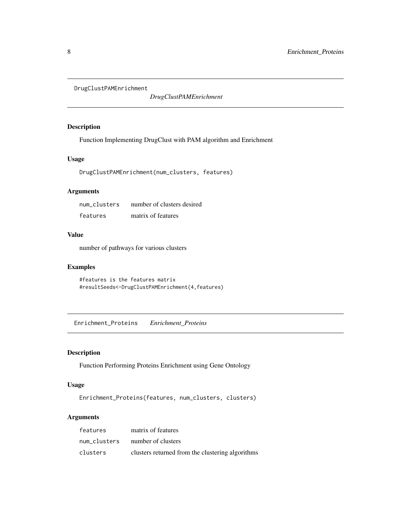<span id="page-7-0"></span>DrugClustPAMEnrichment

*DrugClustPAMEnrichment*

## Description

Function Implementing DrugClust with PAM algorithm and Enrichment

## Usage

DrugClustPAMEnrichment(num\_clusters, features)

## Arguments

| num clusters | number of clusters desired |
|--------------|----------------------------|
| features     | matrix of features         |

## Value

number of pathways for various clusters

## Examples

```
#features is the features matrix
#resultSeeds<-DrugClustPAMEnrichment(4,features)
```
Enrichment\_Proteins *Enrichment\_Proteins*

## Description

Function Performing Proteins Enrichment using Gene Ontology

#### Usage

Enrichment\_Proteins(features, num\_clusters, clusters)

| features     | matrix of features                               |
|--------------|--------------------------------------------------|
| num clusters | number of clusters                               |
| clusters     | clusters returned from the clustering algorithms |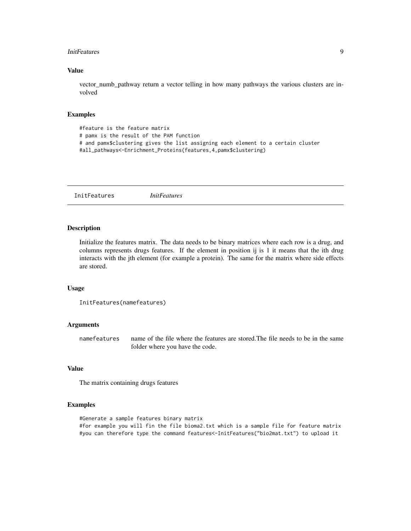#### <span id="page-8-0"></span>InitFeatures 9

#### Value

vector\_numb\_pathway return a vector telling in how many pathways the various clusters are involved

#### Examples

```
#feature is the feature matrix
# pamx is the result of the PAM function
# and pamx$clustering gives the list assigning each element to a certain cluster
#all_pathways<-Enrichment_Proteins(features,4,pamx$clustering)
```
InitFeatures *InitFeatures*

#### **Description**

Initialize the features matrix. The data needs to be binary matrices where each row is a drug, and columns represents drugs features. If the element in position ij is 1 it means that the ith drug interacts with the jth element (for example a protein). The same for the matrix where side effects are stored.

#### Usage

```
InitFeatures(namefeatures)
```
## Arguments

namefeatures name of the file where the features are stored.The file needs to be in the same folder where you have the code.

## Value

The matrix containing drugs features

#### Examples

#Generate a sample features binary matrix #for example you will fin the file bioma2.txt which is a sample file for feature matrix #you can therefore type the command features<-InitFeatures("bio2mat.txt") to upload it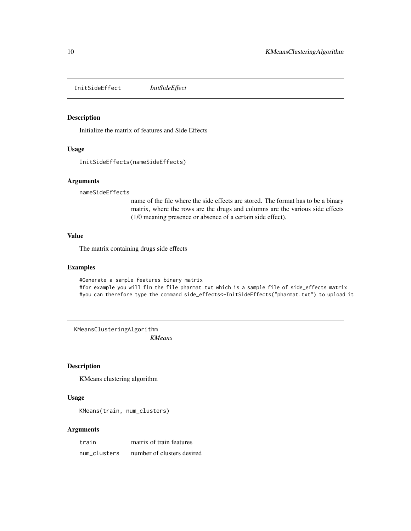<span id="page-9-0"></span>InitSideEffect *InitSideEffect*

## Description

Initialize the matrix of features and Side Effects

## Usage

```
InitSideEffects(nameSideEffects)
```
## Arguments

nameSideEffects

name of the file where the side effects are stored. The format has to be a binary matrix, where the rows are the drugs and columns are the various side effects (1/0 meaning presence or absence of a certain side effect).

#### Value

The matrix containing drugs side effects

#### Examples

#Generate a sample features binary matrix #for example you will fin the file pharmat.txt which is a sample file of side\_effects matrix #you can therefore type the command side\_effects<-InitSideEffects("pharmat.txt") to upload it

KMeansClusteringAlgorithm *KMeans*

#### Description

KMeans clustering algorithm

## Usage

KMeans(train, num\_clusters)

| train        | matrix of train features   |
|--------------|----------------------------|
| num clusters | number of clusters desired |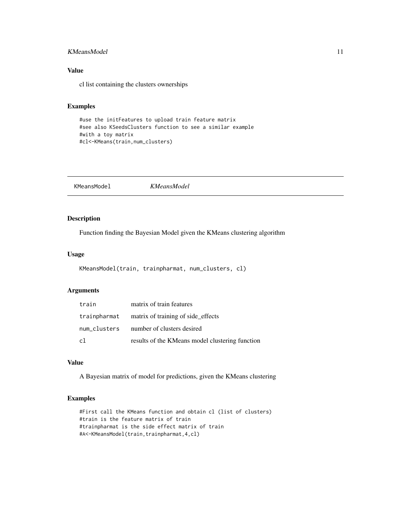## <span id="page-10-0"></span>KMeansModel 11

## Value

cl list containing the clusters ownerships

## Examples

```
#use the initFeatures to upload train feature matrix
#see also KSeedsClusters function to see a similar example
#with a toy matrix
#cl<-KMeans(train,num_clusters)
```
KMeansModel *KMeansModel*

## Description

Function finding the Bayesian Model given the KMeans clustering algorithm

## Usage

```
KMeansModel(train, trainpharmat, num_clusters, cl)
```
## Arguments

| train | matrix of train features                        |
|-------|-------------------------------------------------|
|       | trainpharmat matrix of training of side effects |
|       | num_clusters number of clusters desired         |
| c1    | results of the KMeans model clustering function |

## Value

A Bayesian matrix of model for predictions, given the KMeans clustering

```
#First call the KMeans function and obtain cl (list of clusters)
#train is the feature matrix of train
#trainpharmat is the side effect matrix of train
#A<-KMeansModel(train,trainpharmat,4,cl)
```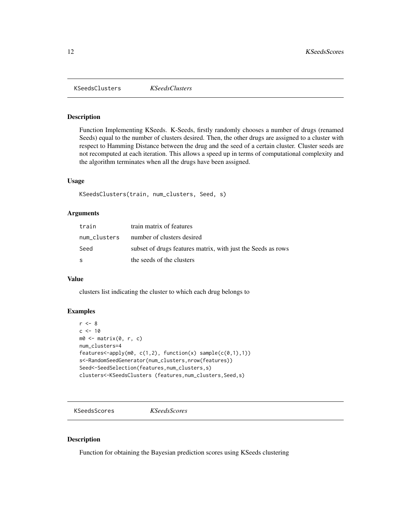<span id="page-11-0"></span>KSeedsClusters *KSeedsClusters*

#### Description

Function Implementing KSeeds. K-Seeds, firstly randomly chooses a number of drugs (renamed Seeds) equal to the number of clusters desired. Then, the other drugs are assigned to a cluster with respect to Hamming Distance between the drug and the seed of a certain cluster. Cluster seeds are not recomputed at each iteration. This allows a speed up in terms of computational complexity and the algorithm terminates when all the drugs have been assigned.

## Usage

```
KSeedsClusters(train, num_clusters, Seed, s)
```
#### Arguments

| train        | train matrix of features                                     |
|--------------|--------------------------------------------------------------|
| num_clusters | number of clusters desired                                   |
| Seed         | subset of drugs features matrix, with just the Seeds as rows |
| S            | the seeds of the clusters                                    |

#### Value

clusters list indicating the cluster to which each drug belongs to

#### Examples

```
r < - 8c < -10m0 <- matrix(0, r, c)
num_clusters=4
features < -apply(m0, c(1,2), function(x) sample(c(0,1),1))s<-RandomSeedGenerator(num_clusters,nrow(features))
Seed<-SeedSelection(features,num_clusters,s)
clusters<-KSeedsClusters (features,num_clusters,Seed,s)
```
KSeedsScores *KSeedsScores*

## Description

Function for obtaining the Bayesian prediction scores using KSeeds clustering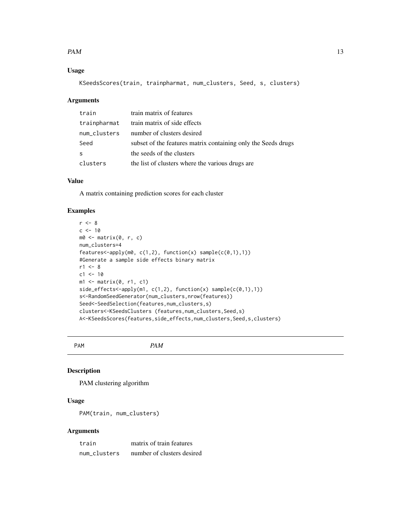#### <span id="page-12-0"></span> $PAM$  13

## Usage

KSeedsScores(train, trainpharmat, num\_clusters, Seed, s, clusters)

#### Arguments

| train        | train matrix of features                                      |
|--------------|---------------------------------------------------------------|
| trainpharmat | train matrix of side effects                                  |
| num_clusters | number of clusters desired                                    |
| Seed         | subset of the features matrix containing only the Seeds drugs |
| -S           | the seeds of the clusters                                     |
| clusters     | the list of clusters where the various drugs are              |

## Value

A matrix containing prediction scores for each cluster

#### Examples

```
r < -8c < -10m0 \le matrix(0, r, c)
num_clusters=4
features<-apply(m0, c(1,2), function(x) sample(c(0,1),1))
#Generate a sample side effects binary matrix
r1 < -8c1 < -10m1 <- matrix(0, r1, c1)
side_effects<-apply(m1, c(1,2), function(x) sample(c(0,1),1))
s<-RandomSeedGenerator(num_clusters,nrow(features))
Seed<-SeedSelection(features,num_clusters,s)
clusters<-KSeedsClusters (features,num_clusters,Seed,s)
A<-KSeedsScores(features,side_effects,num_clusters,Seed,s,clusters)
```
PAM *PAM*

## Description

PAM clustering algorithm

#### Usage

PAM(train, num\_clusters)

| train        | matrix of train features   |
|--------------|----------------------------|
| num clusters | number of clusters desired |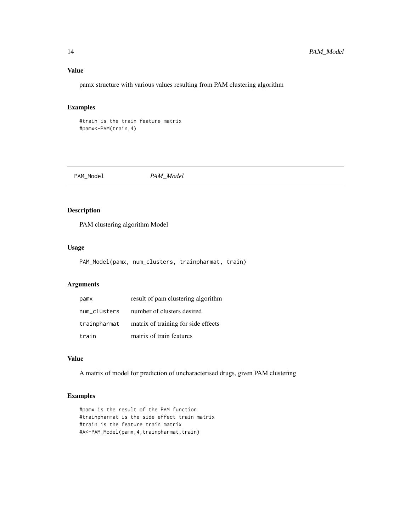## Value

pamx structure with various values resulting from PAM clustering algorithm

## Examples

#train is the train feature matrix #pamx<-PAM(train,4)

PAM\_Model *PAM\_Model*

## Description

PAM clustering algorithm Model

## Usage

PAM\_Model(pamx, num\_clusters, trainpharmat, train)

## Arguments

| pamx         | result of pam clustering algorithm  |
|--------------|-------------------------------------|
| num clusters | number of clusters desired          |
| trainpharmat | matrix of training for side effects |
| train        | matrix of train features            |

## Value

A matrix of model for prediction of uncharacterised drugs, given PAM clustering

```
#pamx is the result of the PAM function
#trainpharmat is the side effect train matrix
#train is the feature train matrix
#A<-PAM_Model(pamx,4,trainpharmat,train)
```
<span id="page-13-0"></span>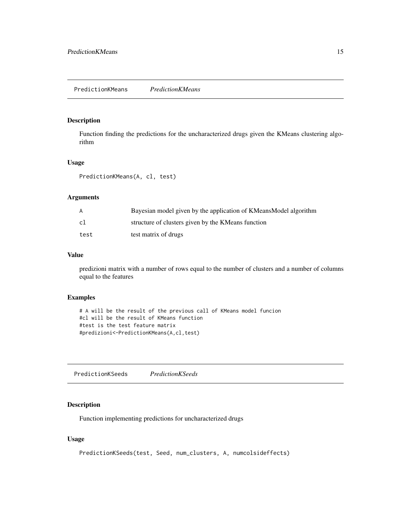## <span id="page-14-0"></span>Description

Function finding the predictions for the uncharacterized drugs given the KMeans clustering algorithm

## Usage

PredictionKMeans(A, cl, test)

## Arguments

| A    | Bayesian model given by the application of KMeansModel algorithm |
|------|------------------------------------------------------------------|
| cl   | structure of clusters given by the KMeans function               |
| test | test matrix of drugs                                             |

## Value

predizioni matrix with a number of rows equal to the number of clusters and a number of columns equal to the features

#### Examples

```
# A will be the result of the previous call of KMeans model funcion
#cl will be the result of KMeans function
#test is the test feature matrix
#predizioni<-PredictionKMeans(A,cl,test)
```
PredictionKSeeds *PredictionKSeeds*

## Description

Function implementing predictions for uncharacterized drugs

## Usage

```
PredictionKSeeds(test, Seed, num_clusters, A, numcolsideffects)
```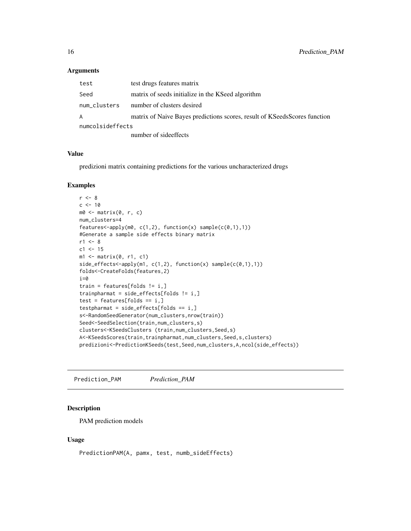#### Arguments

| test             | test drugs features matrix                                                |
|------------------|---------------------------------------------------------------------------|
| Seed             | matrix of seeds initialize in the KSeed algorithm                         |
| num_clusters     | number of clusters desired                                                |
| A                | matrix of Naive Bayes predictions scores, result of KSeedsScores function |
| numcolsideffects |                                                                           |
|                  | number of side offects                                                    |

number of sideeffects

#### Value

predizioni matrix containing predictions for the various uncharacterized drugs

#### Examples

```
r < - 8c <- 10
m0 \le - matrix(0, r, c)
num_clusters=4
features <- apply(m0, c(1,2), function(x) sample(c(0,1),1))
#Generate a sample side effects binary matrix
r1 < -8c1 <- 15
ml \leftarrow matrix(0, r1, c1)side_effects<-apply(m1, c(1,2), function(x) sample(c(0,1),1))
folds<-CreateFolds(features,2)
i=0train = features[folds != i,]
trainpharmat = side_effects[folds != i,]
test = features[follow] == i, ]testpharmat = side\_effects[follow] == i, ]s<-RandomSeedGenerator(num_clusters,nrow(train))
Seed<-SeedSelection(train,num_clusters,s)
clusters<-KSeedsClusters (train,num_clusters,Seed,s)
A<-KSeedsScores(train,trainpharmat,num_clusters,Seed,s,clusters)
predizioni<-PredictionKSeeds(test,Seed,num_clusters,A,ncol(side_effects))
```
Prediction\_PAM *Prediction\_PAM*

#### Description

PAM prediction models

#### Usage

PredictionPAM(A, pamx, test, numb\_sideEffects)

<span id="page-15-0"></span>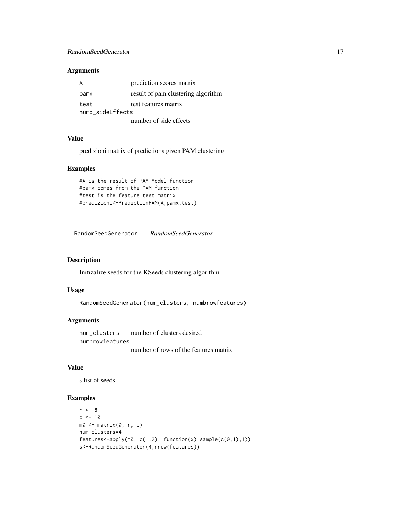## <span id="page-16-0"></span>RandomSeedGenerator 17

## Arguments

|                  | prediction scores matrix           |
|------------------|------------------------------------|
| pamx             | result of pam clustering algorithm |
| test             | test features matrix               |
| numb_sideEffects |                                    |
|                  | number of side effects             |

#### Value

predizioni matrix of predictions given PAM clustering

#### Examples

```
#A is the result of PAM_Model function
#pamx comes from the PAM function
#test is the feature test matrix
#predizioni<-PredictionPAM(A,pamx,test)
```
RandomSeedGenerator *RandomSeedGenerator*

#### Description

Initizalize seeds for the KSeeds clustering algorithm

#### Usage

RandomSeedGenerator(num\_clusters, numbrowfeatures)

#### Arguments

num\_clusters number of clusters desired numbrowfeatures number of rows of the features matrix

#### Value

s list of seeds

```
r < - 8c < -10m0 \le- matrix(0, r, c)
num_clusters=4
features<-apply(m0, c(1,2), function(x) sample(c(0,1),1))
s<-RandomSeedGenerator(4,nrow(features))
```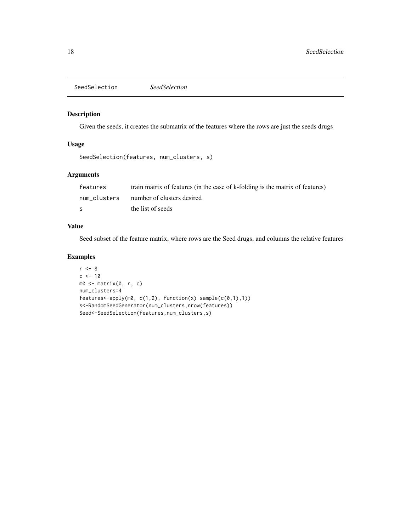<span id="page-17-0"></span>SeedSelection *SeedSelection*

## Description

Given the seeds, it creates the submatrix of the features where the rows are just the seeds drugs

#### Usage

```
SeedSelection(features, num_clusters, s)
```
## Arguments

| features     | train matrix of features (in the case of k-folding is the matrix of features) |
|--------------|-------------------------------------------------------------------------------|
| num clusters | number of clusters desired                                                    |
| S            | the list of seeds                                                             |

#### Value

Seed subset of the feature matrix, where rows are the Seed drugs, and columns the relative features

```
r <- 8
c < -10m0 <- matrix(0, r, c)
num_clusters=4
features<-apply(m0, c(1,2), function(x) sample(c(0,1),1))
s<-RandomSeedGenerator(num_clusters,nrow(features))
Seed<-SeedSelection(features,num_clusters,s)
```